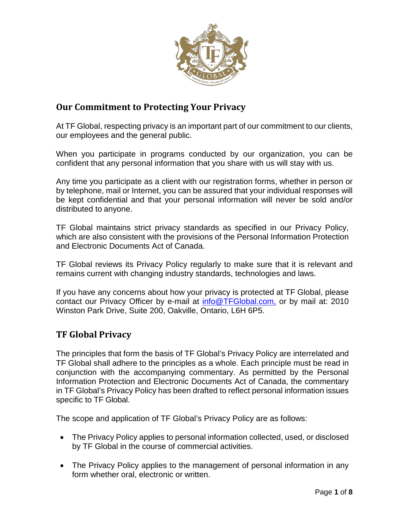

# **Our Commitment to Protecting Your Privacy**

At TF Global, respecting privacy is an important part of our commitment to our clients, our employees and the general public.

When you participate in programs conducted by our organization, you can be confident that any personal information that you share with us will stay with us.

Any time you participate as a client with our registration forms, whether in person or by telephone, mail or Internet, you can be assured that your individual responses will be kept confidential and that your personal information will never be sold and/or distributed to anyone.

TF Global maintains strict privacy standards as specified in our Privacy Policy, which are also consistent with the provisions of the Personal Information Protection and Electronic Documents Act of Canada.

TF Global reviews its Privacy Policy regularly to make sure that it is relevant and remains current with changing industry standards, technologies and laws.

If you have any concerns about how your privacy is protected at TF Global, please contact our Privacy Officer by e-mail at [info@TFGlobal.com,](mailto:info@TFGlobal.com,) or by mail at: 2010 Winston Park Drive, Suite 200, Oakville, Ontario, L6H 6P5.

#### **TF Global Privacy**

The principles that form the basis of TF Global's Privacy Policy are interrelated and TF Global shall adhere to the principles as a whole. Each principle must be read in conjunction with the accompanying commentary. As permitted by the Personal Information Protection and Electronic Documents Act of Canada, the commentary in TF Global's Privacy Policy has been drafted to reflect personal information issues specific to TF Global.

The scope and application of TF Global's Privacy Policy are as follows:

- The Privacy Policy applies to personal information collected, used, or disclosed by TF Global in the course of commercial activities.
- The Privacy Policy applies to the management of personal information in any form whether oral, electronic or written.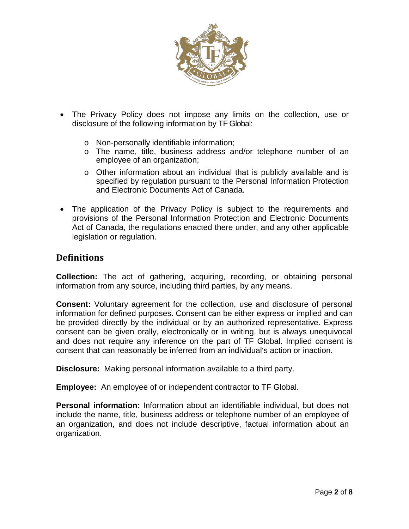

- The Privacy Policy does not impose any limits on the collection, use or disclosure of the following information by TF Global:
	- o Non-personally identifiable information;
	- o The name, title, business address and/or telephone number of an employee of an organization;
	- o Other information about an individual that is publicly available and is specified by regulation pursuant to the Personal Information Protection and Electronic Documents Act of Canada.
- The application of the Privacy Policy is subject to the requirements and provisions of the Personal Information Protection and Electronic Documents Act of Canada, the regulations enacted there under, and any other applicable legislation or regulation.

#### **Definitions**

**Collection:** The act of gathering, acquiring, recording, or obtaining personal information from any source, including third parties, by any means.

**Consent:** Voluntary agreement for the collection, use and disclosure of personal information for defined purposes. Consent can be either express or implied and can be provided directly by the individual or by an authorized representative. Express consent can be given orally, electronically or in writing, but is always unequivocal and does not require any inference on the part of TF Global. Implied consent is consent that can reasonably be inferred from an individual's action or inaction.

**Disclosure:** Making personal information available to a third party.

**Employee:** An employee of or independent contractor to TF Global.

**Personal information:** Information about an identifiable individual, but does not include the name, title, business address or telephone number of an employee of an organization, and does not include descriptive, factual information about an organization.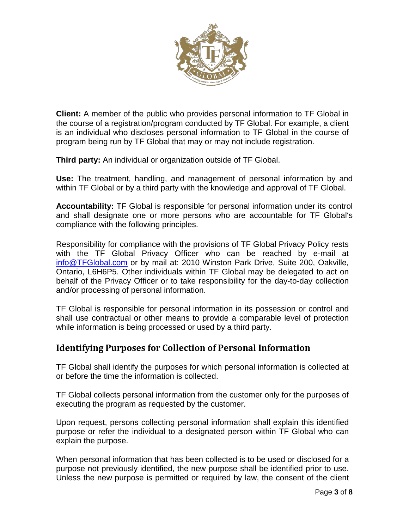

**Client:** A member of the public who provides personal information to TF Global in the course of a registration/program conducted by TF Global. For example, a client is an individual who discloses personal information to TF Global in the course of program being run by TF Global that may or may not include registration.

**Third party:** An individual or organization outside of TF Global.

**Use:** The treatment, handling, and management of personal information by and within TF Global or by a third party with the knowledge and approval of TF Global.

**Accountability:** TF Global is responsible for personal information under its control and shall designate one or more persons who are accountable for TF Global's compliance with the following principles.

Responsibility for compliance with the provisions of TF Global Privacy Policy rests with the TF Global Privacy Officer who can be reached by e-mail at [info@TFGlobal.com](mailto:info@TFGlobal.com) or by mail at: 2010 Winston Park Drive, Suite 200, Oakville, Ontario, L6H6P5. Other individuals within TF Global may be delegated to act on behalf of the Privacy Officer or to take responsibility for the day-to-day collection and/or processing of personal information.

TF Global is responsible for personal information in its possession or control and shall use contractual or other means to provide a comparable level of protection while information is being processed or used by a third party.

## **Identifying Purposes for Collection of Personal Information**

TF Global shall identify the purposes for which personal information is collected at or before the time the information is collected.

TF Global collects personal information from the customer only for the purposes of executing the program as requested by the customer.

Upon request, persons collecting personal information shall explain this identified purpose or refer the individual to a designated person within TF Global who can explain the purpose.

When personal information that has been collected is to be used or disclosed for a purpose not previously identified, the new purpose shall be identified prior to use. Unless the new purpose is permitted or required by law, the consent of the client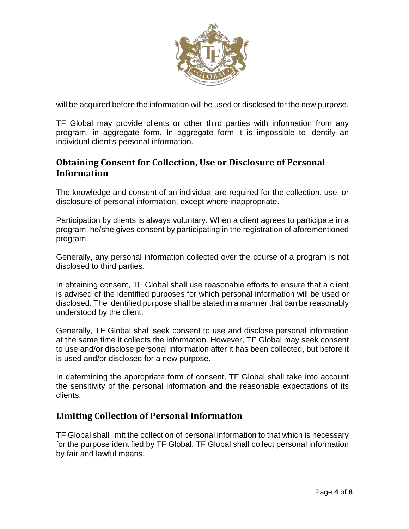

will be acquired before the information will be used or disclosed for the new purpose.

TF Global may provide clients or other third parties with information from any program, in aggregate form. In aggregate form it is impossible to identify an individual client's personal information.

## **Obtaining Consent for Collection, Use or Disclosure of Personal Information**

The knowledge and consent of an individual are required for the collection, use, or disclosure of personal information, except where inappropriate.

Participation by clients is always voluntary. When a client agrees to participate in a program, he/she gives consent by participating in the registration of aforementioned program.

Generally, any personal information collected over the course of a program is not disclosed to third parties.

In obtaining consent, TF Global shall use reasonable efforts to ensure that a client is advised of the identified purposes for which personal information will be used or disclosed. The identified purpose shall be stated in a manner that can be reasonably understood by the client.

Generally, TF Global shall seek consent to use and disclose personal information at the same time it collects the information. However, TF Global may seek consent to use and/or disclose personal information after it has been collected, but before it is used and/or disclosed for a new purpose.

In determining the appropriate form of consent, TF Global shall take into account the sensitivity of the personal information and the reasonable expectations of its clients.

## **Limiting Collection of Personal Information**

TF Global shall limit the collection of personal information to that which is necessary for the purpose identified by TF Global. TF Global shall collect personal information by fair and lawful means.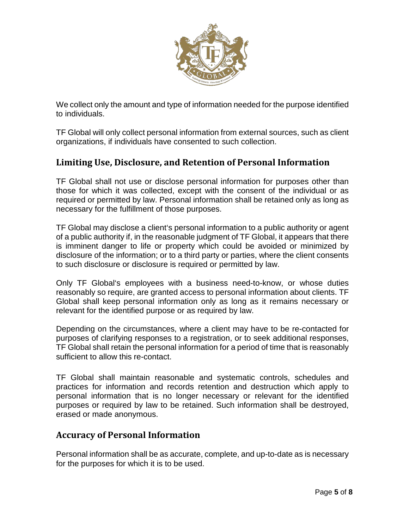

We collect only the amount and type of information needed for the purpose identified to individuals.

TF Global will only collect personal information from external sources, such as client organizations, if individuals have consented to such collection.

## **Limiting Use, Disclosure, and Retention of Personal Information**

TF Global shall not use or disclose personal information for purposes other than those for which it was collected, except with the consent of the individual or as required or permitted by law. Personal information shall be retained only as long as necessary for the fulfillment of those purposes.

TF Global may disclose a client's personal information to a public authority or agent of a public authority if, in the reasonable judgment of TF Global, it appears that there is imminent danger to life or property which could be avoided or minimized by disclosure of the information; or to a third party or parties, where the client consents to such disclosure or disclosure is required or permitted by law.

Only TF Global's employees with a business need-to-know, or whose duties reasonably so require, are granted access to personal information about clients. TF Global shall keep personal information only as long as it remains necessary or relevant for the identified purpose or as required by law.

Depending on the circumstances, where a client may have to be re-contacted for purposes of clarifying responses to a registration, or to seek additional responses, TF Global shall retain the personal information for a period of time that is reasonably sufficient to allow this re-contact.

TF Global shall maintain reasonable and systematic controls, schedules and practices for information and records retention and destruction which apply to personal information that is no longer necessary or relevant for the identified purposes or required by law to be retained. Such information shall be destroyed, erased or made anonymous.

#### **Accuracy of Personal Information**

Personal information shall be as accurate, complete, and up-to-date as is necessary for the purposes for which it is to be used.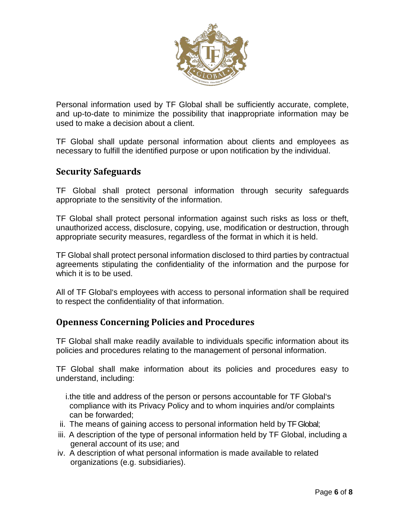

Personal information used by TF Global shall be sufficiently accurate, complete, and up-to-date to minimize the possibility that inappropriate information may be used to make a decision about a client.

TF Global shall update personal information about clients and employees as necessary to fulfill the identified purpose or upon notification by the individual.

## **Security Safeguards**

TF Global shall protect personal information through security safeguards appropriate to the sensitivity of the information.

TF Global shall protect personal information against such risks as loss or theft, unauthorized access, disclosure, copying, use, modification or destruction, through appropriate security measures, regardless of the format in which it is held.

TF Global shall protect personal information disclosed to third parties by contractual agreements stipulating the confidentiality of the information and the purpose for which it is to be used.

All of TF Global's employees with access to personal information shall be required to respect the confidentiality of that information.

## **Openness Concerning Policies and Procedures**

TF Global shall make readily available to individuals specific information about its policies and procedures relating to the management of personal information.

TF Global shall make information about its policies and procedures easy to understand, including:

i.the title and address of the person or persons accountable for TF Global's compliance with its Privacy Policy and to whom inquiries and/or complaints can be forwarded;

- ii. The means of gaining access to personal information held by TF Global;
- iii. A description of the type of personal information held by TF Global, including a general account of its use; and
- iv. A description of what personal information is made available to related organizations (e.g. subsidiaries).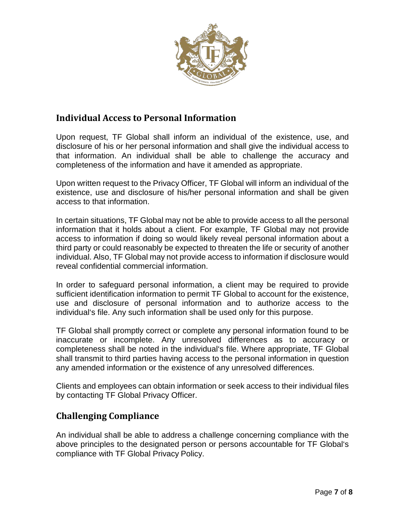

## **Individual Access to Personal Information**

Upon request, TF Global shall inform an individual of the existence, use, and disclosure of his or her personal information and shall give the individual access to that information. An individual shall be able to challenge the accuracy and completeness of the information and have it amended as appropriate.

Upon written request to the Privacy Officer, TF Global will inform an individual of the existence, use and disclosure of his/her personal information and shall be given access to that information.

In certain situations, TF Global may not be able to provide access to all the personal information that it holds about a client. For example, TF Global may not provide access to information if doing so would likely reveal personal information about a third party or could reasonably be expected to threaten the life or security of another individual. Also, TF Global may not provide access to information if disclosure would reveal confidential commercial information.

In order to safeguard personal information, a client may be required to provide sufficient identification information to permit TF Global to account for the existence, use and disclosure of personal information and to authorize access to the individual's file. Any such information shall be used only for this purpose.

TF Global shall promptly correct or complete any personal information found to be inaccurate or incomplete. Any unresolved differences as to accuracy or completeness shall be noted in the individual's file. Where appropriate, TF Global shall transmit to third parties having access to the personal information in question any amended information or the existence of any unresolved differences.

Clients and employees can obtain information or seek access to their individual files by contacting TF Global Privacy Officer.

# **Challenging Compliance**

An individual shall be able to address a challenge concerning compliance with the above principles to the designated person or persons accountable for TF Global's compliance with TF Global Privacy Policy.